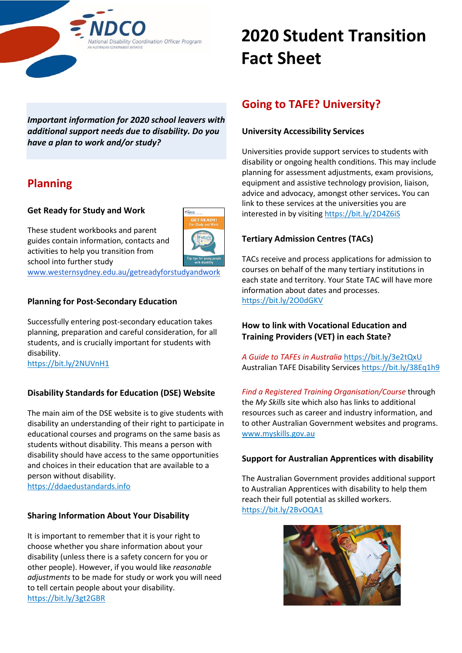

*Important information for 2020 school leavers with additional support needs due to disability. Do you have a plan to work and/or study?*

# **Planning**

### **Get Ready for Study and Work**



These student workbooks and parent guides contain information, contacts and activities to help you transition from school into further study

[www.westernsydney.edu.au/getreadyforstudyandwork](https://www.westernsydney.edu.au/getreadyforstudyandwork)

### **Planning for Post-Secondary Education**

Successfully entering post-secondary education takes planning, preparation and careful consideration, for all students, and is crucially important for students with disability. <https://bit.ly/2NUVnH1>

# **Disability Standards for Education (DSE) Website**

The main aim of the DSE website is to give students with disability an understanding of their right to participate in educational courses and programs on the same basis as students without disability. This means a person with disability should have access to the same opportunities and choices in their education that are available to a person without disability. [https://ddaedustandards.info](https://ddaedustandards.info/)

### **Sharing Information About Your Disability**

It is important to remember that it is your right to choose whether you share information about your disability (unless there is a safety concern for you or other people). However, if you would like *reasonable adjustments* to be made for study or work you will need to tell certain people about your disability. <https://bit.ly/3gt2GBR>

# **2020 Student Transition Fact Sheet**

# **Going to TAFE? University?**

### **University Accessibility Services**

Universities provide support services to students with disability or ongoing health conditions. This may include planning for assessment adjustments, exam provisions, equipment and assistive technology provision, liaison, advice and advocacy, amongst other services**.** You can link to these services at the universities you are interested in by visiting <https://bit.ly/2D4Z6iS>

# **Tertiary Admission Centres (TACs)**

TACs receive and process applications for admission to courses on behalf of the many tertiary institutions in each state and territory. Your State TAC will have more information about dates and processes. <https://bit.ly/2O0dGKV>

### **How to link with Vocational Education and Training Providers (VET) in each State?**

*A Guide to TAFEs in Australia* <https://bit.ly/3e2tQxU> Australian TAFE Disability Service[s https://bit.ly/38Eq1h9](https://bit.ly/38Eq1h9)

*Find a Registered Training Organisation/Course* through the *My Skills* site which also has links to additional resources such as career and industry information, and to other Australian Government websites and programs. [www.myskills.gov.au](http://www.myskills.gov.au/)

### **Support for Australian Apprentices with disability**

The Australian Government provides additional support to Australian Apprentices with disability to help them reach their full potential as skilled workers. <https://bit.ly/2BvOQA1>